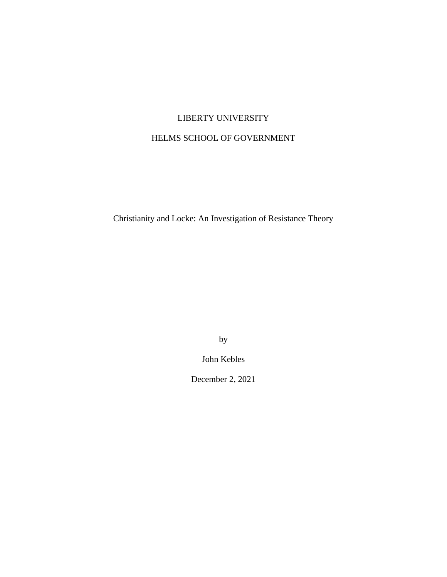# LIBERTY UNIVERSITY

## HELMS SCHOOL OF GOVERNMENT

Christianity and Locke: An Investigation of Resistance Theory

by

John Kebles

December 2, 2021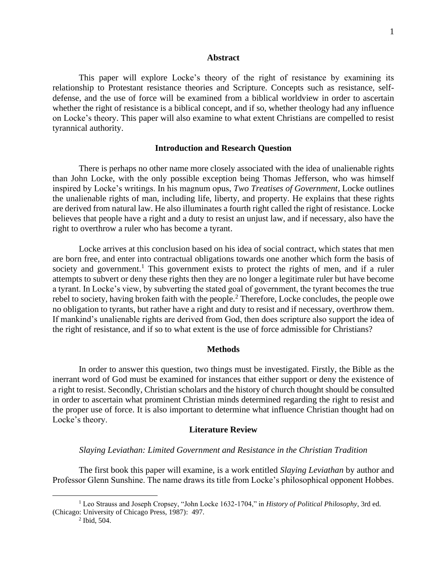#### **Abstract**

This paper will explore Locke's theory of the right of resistance by examining its relationship to Protestant resistance theories and Scripture. Concepts such as resistance, selfdefense, and the use of force will be examined from a biblical worldview in order to ascertain whether the right of resistance is a biblical concept, and if so, whether theology had any influence on Locke's theory. This paper will also examine to what extent Christians are compelled to resist tyrannical authority.

#### **Introduction and Research Question**

There is perhaps no other name more closely associated with the idea of unalienable rights than John Locke, with the only possible exception being Thomas Jefferson, who was himself inspired by Locke's writings. In his magnum opus, *Two Treatises of Government,* Locke outlines the unalienable rights of man, including life, liberty, and property. He explains that these rights are derived from natural law. He also illuminates a fourth right called the right of resistance. Locke believes that people have a right and a duty to resist an unjust law, and if necessary, also have the right to overthrow a ruler who has become a tyrant.

Locke arrives at this conclusion based on his idea of social contract, which states that men are born free, and enter into contractual obligations towards one another which form the basis of society and government.<sup>1</sup> This government exists to protect the rights of men, and if a ruler attempts to subvert or deny these rights then they are no longer a legitimate ruler but have become a tyrant. In Locke's view, by subverting the stated goal of government, the tyrant becomes the true rebel to society, having broken faith with the people.<sup>2</sup> Therefore, Locke concludes, the people owe no obligation to tyrants, but rather have a right and duty to resist and if necessary, overthrow them. If mankind's unalienable rights are derived from God, then does scripture also support the idea of the right of resistance, and if so to what extent is the use of force admissible for Christians?

#### **Methods**

In order to answer this question, two things must be investigated. Firstly, the Bible as the inerrant word of God must be examined for instances that either support or deny the existence of a right to resist. Secondly, Christian scholars and the history of church thought should be consulted in order to ascertain what prominent Christian minds determined regarding the right to resist and the proper use of force. It is also important to determine what influence Christian thought had on Locke's theory.

#### **Literature Review**

#### *Slaying Leviathan: Limited Government and Resistance in the Christian Tradition*

The first book this paper will examine, is a work entitled *Slaying Leviathan* by author and Professor Glenn Sunshine. The name draws its title from Locke's philosophical opponent Hobbes.

<sup>1</sup> Leo Strauss and Joseph Cropsey, "John Locke 1632-1704," in *History of Political Philosophy*, 3rd ed. (Chicago: University of Chicago Press, 1987): 497.

<sup>2</sup> Ibid, 504.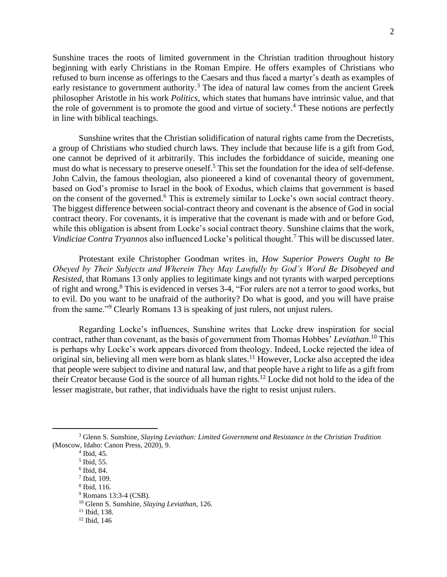Sunshine traces the roots of limited government in the Christian tradition throughout history beginning with early Christians in the Roman Empire. He offers examples of Christians who refused to burn incense as offerings to the Caesars and thus faced a martyr's death as examples of early resistance to government authority.<sup>3</sup> The idea of natural law comes from the ancient Greek philosopher Aristotle in his work *Politics*, which states that humans have intrinsic value, and that the role of government is to promote the good and virtue of society.<sup>4</sup> These notions are perfectly in line with biblical teachings.

Sunshine writes that the Christian solidification of natural rights came from the Decretists, a group of Christians who studied church laws. They include that because life is a gift from God, one cannot be deprived of it arbitrarily. This includes the forbiddance of suicide, meaning one must do what is necessary to preserve oneself.<sup>5</sup> This set the foundation for the idea of self-defense. John Calvin, the famous theologian, also pioneered a kind of covenantal theory of government, based on God's promise to Israel in the book of Exodus, which claims that government is based on the consent of the governed.<sup>6</sup> This is extremely similar to Locke's own social contract theory. The biggest difference between social-contract theory and covenant is the absence of God in social contract theory. For covenants, it is imperative that the covenant is made with and or before God, while this obligation is absent from Locke's social contract theory. Sunshine claims that the work, *Vindiciae Contra Tryannos* also influenced Locke's political thought.<sup>7</sup> This will be discussed later.

Protestant exile Christopher Goodman writes in, *How Superior Powers Ought to Be Obeyed by Their Subjects and Wherein They May Lawfully by God's Word Be Disobeyed and Resisted,* that Romans 13 only applies to legitimate kings and not tyrants with warped perceptions of right and wrong.<sup>8</sup> This is evidenced in verses 3-4, "For rulers are not a terror to good works, but to evil. Do you want to be unafraid of the authority? Do what is good, and you will have praise from the same."<sup>9</sup> Clearly Romans 13 is speaking of just rulers, not unjust rulers.

Regarding Locke's influences, Sunshine writes that Locke drew inspiration for social contract, rather than covenant, as the basis of government from Thomas Hobbes' *Leviathan*. <sup>10</sup> This is perhaps why Locke's work appears divorced from theology. Indeed, Locke rejected the idea of original sin, believing all men were born as blank slates.<sup>11</sup> However, Locke also accepted the idea that people were subject to divine and natural law, and that people have a right to life as a gift from their Creator because God is the source of all human rights.<sup>12</sup> Locke did not hold to the idea of the lesser magistrate, but rather, that individuals have the right to resist unjust rulers.

<sup>3</sup> Glenn S. Sunshine, *Slaying Leviathan: Limited Government and Resistance in the Christian Tradition* (Moscow, Idaho: Canon Press, 2020), 9.

<sup>4</sup> Ibid, 45.

<sup>5</sup> Ibid, 55.

<sup>6</sup> Ibid, 84.

<sup>7</sup> Ibid, 109.

<sup>8</sup> Ibid, 116.

<sup>9</sup> Romans 13:3-4 (CSB).

<sup>10</sup> Glenn S. Sunshine, *Slaying Leviathan*, 126.

 $11$  Ibid, 138.

 $12$  Ibid, 146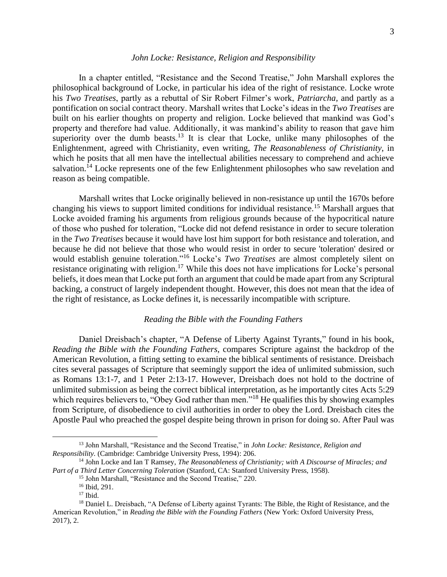#### *John Locke: Resistance, Religion and Responsibility*

In a chapter entitled, "Resistance and the Second Treatise," John Marshall explores the philosophical background of Locke, in particular his idea of the right of resistance. Locke wrote his *Two Treatises*, partly as a rebuttal of Sir Robert Filmer's work, *Patriarcha,* and partly as a pontification on social contract theory. Marshall writes that Locke's ideas in the *Two Treatises* are built on his earlier thoughts on property and religion. Locke believed that mankind was God's property and therefore had value. Additionally, it was mankind's ability to reason that gave him superiority over the dumb beasts.<sup>13</sup> It is clear that Locke, unlike many philosophes of the Enlightenment, agreed with Christianity, even writing, *The Reasonableness of Christianity*, in which he posits that all men have the intellectual abilities necessary to comprehend and achieve salvation.<sup> $14$ </sup> Locke represents one of the few Enlightenment philosophes who saw revelation and reason as being compatible.

Marshall writes that Locke originally believed in non-resistance up until the 1670s before changing his views to support limited conditions for individual resistance.<sup>15</sup> Marshall argues that Locke avoided framing his arguments from religious grounds because of the hypocritical nature of those who pushed for toleration, "Locke did not defend resistance in order to secure toleration in the *Two Treatises* because it would have lost him support for both resistance and toleration, and because he did not believe that those who would resist in order to secure 'toleration' desired or would establish genuine toleration."<sup>16</sup> Locke's *Two Treatises* are almost completely silent on resistance originating with religion.<sup>17</sup> While this does not have implications for Locke's personal beliefs, it does mean that Locke put forth an argument that could be made apart from any Scriptural backing, a construct of largely independent thought. However, this does not mean that the idea of the right of resistance, as Locke defines it, is necessarily incompatible with scripture.

#### *Reading the Bible with the Founding Fathers*

Daniel Dreisbach's chapter, "A Defense of Liberty Against Tyrants," found in his book, *Reading the Bible with the Founding Fathers*, compares Scripture against the backdrop of the American Revolution, a fitting setting to examine the biblical sentiments of resistance. Dreisbach cites several passages of Scripture that seemingly support the idea of unlimited submission, such as Romans 13:1-7, and 1 Peter 2:13-17. However, Dreisbach does not hold to the doctrine of unlimited submission as being the correct biblical interpretation, as he importantly cites Acts 5:29 which requires believers to, "Obey God rather than men."<sup>18</sup> He qualifies this by showing examples from Scripture, of disobedience to civil authorities in order to obey the Lord. Dreisbach cites the Apostle Paul who preached the gospel despite being thrown in prison for doing so. After Paul was

<sup>13</sup> John Marshall, "Resistance and the Second Treatise," in *John Locke: Resistance, Religion and Responsibility.* (Cambridge: Cambridge University Press, 1994): 206.

<sup>14</sup> John Locke and Ian T Ramsey, *The Reasonableness of Christianity; with A Discourse of Miracles; and Part of a Third Letter Concerning Toleration* (Stanford, CA: Stanford University Press, 1958).

<sup>15</sup> John Marshall, "Resistance and the Second Treatise," 220.

<sup>16</sup> Ibid, 291.

 $17$  Ibid.

<sup>&</sup>lt;sup>18</sup> Daniel L. Dreisbach, "A Defense of Liberty against Tyrants: The Bible, the Right of Resistance, and the American Revolution," in *Reading the Bible with the Founding Fathers* (New York: Oxford University Press, 2017), 2.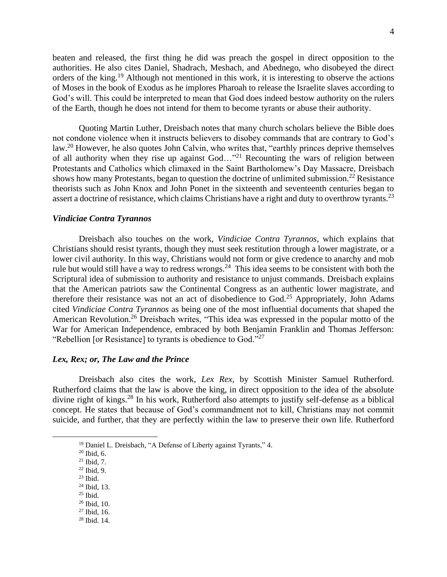beaten and released, the first thing he did was preach the gospel in direct opposition to the authorities. He also cites Daniel, Shadrach, Meshach, and Abednego, who disobeyed the direct orders of the king.<sup>19</sup> Although not mentioned in this work, it is interesting to observe the actions of Moses in the book of Exodus as he implores Pharoah to release the Israelite slaves according to God's will. This could be interpreted to mean that God does indeed bestow authority on the rulers of the Earth, though he does not intend for them to become tyrants or abuse their authority.

Quoting Martin Luther, Dreisbach notes that many church scholars believe the Bible does not condone violence when it instructs believers to disobey commands that are contrary to God's law.<sup>20</sup> However, he also quotes John Calvin, who writes that, "earthly princes deprive themselves of all authority when they rise up against God…"<sup>21</sup> Recounting the wars of religion between Protestants and Catholics which climaxed in the Saint Bartholomew's Day Massacre, Dreisbach shows how many Protestants, began to question the doctrine of unlimited submission.<sup>22</sup> Resistance theorists such as John Knox and John Ponet in the sixteenth and seventeenth centuries began to assert a doctrine of resistance, which claims Christians have a right and duty to overthrow tyrants.<sup>23</sup>

#### *Vindiciae Contra Tyrannos*

Dreisbach also touches on the work, *Vindiciae Contra Tyrannos,* which explains that Christians should resist tyrants, though they must seek restitution through a lower magistrate, or a lower civil authority. In this way, Christians would not form or give credence to anarchy and mob rule but would still have a way to redress wrongs.<sup>24</sup> This idea seems to be consistent with both the Scriptural idea of submission to authority and resistance to unjust commands. Dreisbach explains that the American patriots saw the Continental Congress as an authentic lower magistrate, and therefore their resistance was not an act of disobedience to God.<sup>25</sup> Appropriately, John Adams cited *Vindiciae Contra Tyrannos* as being one of the most influential documents that shaped the American Revolution.<sup>26</sup> Dreisbach writes, "This idea was expressed in the popular motto of the War for American Independence, embraced by both Benjamin Franklin and Thomas Jefferson: "Rebellion [or Resistance] to tyrants is obedience to God."<sup>27</sup>

#### *Lex, Rex; or, The Law and the Prince*

Dreisbach also cites the work, *Lex Rex,* by Scottish Minister Samuel Rutherford. Rutherford claims that the law is above the king, in direct opposition to the idea of the absolute divine right of kings.<sup>28</sup> In his work, Rutherford also attempts to justify self-defense as a biblical concept. He states that because of God's commandment not to kill, Christians may not commit suicide, and further, that they are perfectly within the law to preserve their own life. Rutherford

- <sup>23</sup> Ibid. <sup>24</sup> Ibid, 13.
- $25$  Ibid.
- <sup>26</sup> Ibid, 10.
- <sup>27</sup> Ibid, 16.
- <sup>28</sup> Ibid. 14.

<sup>&</sup>lt;sup>19</sup> Daniel L. Dreisbach, "A Defense of Liberty against Tyrants," 4.

<sup>20</sup> Ibid, 6.

 $21$  Ibid, 7.

 $22$  Ibid, 9.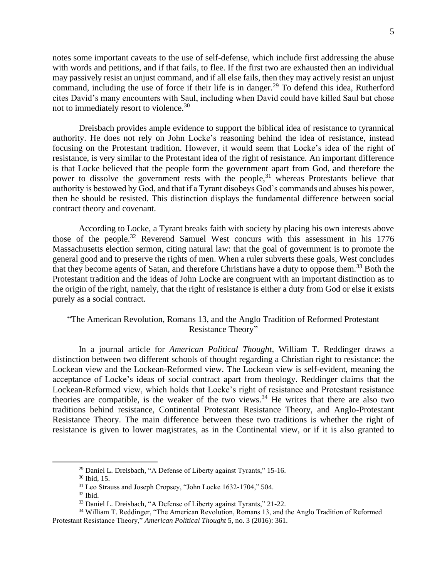notes some important caveats to the use of self-defense, which include first addressing the abuse with words and petitions, and if that fails, to flee. If the first two are exhausted then an individual may passively resist an unjust command, and if all else fails, then they may actively resist an unjust command, including the use of force if their life is in danger.<sup>29</sup> To defend this idea, Rutherford cites David's many encounters with Saul, including when David could have killed Saul but chose not to immediately resort to violence.<sup>30</sup>

Dreisbach provides ample evidence to support the biblical idea of resistance to tyrannical authority. He does not rely on John Locke's reasoning behind the idea of resistance, instead focusing on the Protestant tradition. However, it would seem that Locke's idea of the right of resistance, is very similar to the Protestant idea of the right of resistance. An important difference is that Locke believed that the people form the government apart from God, and therefore the power to dissolve the government rests with the people,  $31$  whereas Protestants believe that authority is bestowed by God, and that if a Tyrant disobeys God's commands and abuses his power, then he should be resisted. This distinction displays the fundamental difference between social contract theory and covenant.

According to Locke, a Tyrant breaks faith with society by placing his own interests above those of the people.<sup>32</sup> Reverend Samuel West concurs with this assessment in his 1776 Massachusetts election sermon, citing natural law: that the goal of government is to promote the general good and to preserve the rights of men. When a ruler subverts these goals, West concludes that they become agents of Satan, and therefore Christians have a duty to oppose them.<sup>33</sup> Both the Protestant tradition and the ideas of John Locke are congruent with an important distinction as to the origin of the right, namely, that the right of resistance is either a duty from God or else it exists purely as a social contract.

## "The American Revolution, Romans 13, and the Anglo Tradition of Reformed Protestant Resistance Theory"

In a journal article for *American Political Thought,* William T. Reddinger draws a distinction between two different schools of thought regarding a Christian right to resistance: the Lockean view and the Lockean-Reformed view. The Lockean view is self-evident, meaning the acceptance of Locke's ideas of social contract apart from theology. Reddinger claims that the Lockean-Reformed view, which holds that Locke's right of resistance and Protestant resistance theories are compatible, is the weaker of the two views.<sup>34</sup> He writes that there are also two traditions behind resistance, Continental Protestant Resistance Theory, and Anglo-Protestant Resistance Theory. The main difference between these two traditions is whether the right of resistance is given to lower magistrates, as in the Continental view, or if it is also granted to

<sup>&</sup>lt;sup>29</sup> Daniel L. Dreisbach, "A Defense of Liberty against Tyrants," 15-16.

<sup>30</sup> Ibid, 15.

<sup>31</sup> Leo Strauss and Joseph Cropsey, "John Locke 1632-1704," 504.

 $32$  Ibid.

<sup>33</sup> Daniel L. Dreisbach, "A Defense of Liberty against Tyrants," 21-22.

<sup>34</sup> William T. Reddinger, "The American Revolution, Romans 13, and the Anglo Tradition of Reformed Protestant Resistance Theory," *American Political Thought* 5, no. 3 (2016): 361.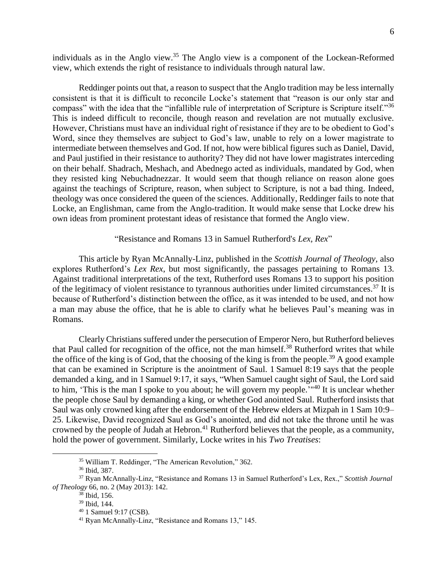individuals as in the Anglo view.<sup>35</sup> The Anglo view is a component of the Lockean-Reformed view, which extends the right of resistance to individuals through natural law.

Reddinger points out that, a reason to suspect that the Anglo tradition may be less internally consistent is that it is difficult to reconcile Locke's statement that "reason is our only star and compass" with the idea that the "infallible rule of interpretation of Scripture is Scripture itself."<sup>36</sup> This is indeed difficult to reconcile, though reason and revelation are not mutually exclusive. However, Christians must have an individual right of resistance if they are to be obedient to God's Word, since they themselves are subject to God's law, unable to rely on a lower magistrate to intermediate between themselves and God. If not, how were biblical figures such as Daniel, David, and Paul justified in their resistance to authority? They did not have lower magistrates interceding on their behalf. Shadrach, Meshach, and Abednego acted as individuals, mandated by God, when they resisted king Nebuchadnezzar. It would seem that though reliance on reason alone goes against the teachings of Scripture, reason, when subject to Scripture, is not a bad thing. Indeed, theology was once considered the queen of the sciences. Additionally, Reddinger fails to note that Locke, an Englishman, came from the Anglo-tradition. It would make sense that Locke drew his own ideas from prominent protestant ideas of resistance that formed the Anglo view.

"Resistance and Romans 13 in Samuel Rutherford's *Lex, Rex*"

This article by Ryan McAnnally-Linz, published in the *Scottish Journal of Theology,* also explores Rutherford's *Lex Rex*, but most significantly, the passages pertaining to Romans 13. Against traditional interpretations of the text, Rutherford uses Romans 13 to support his position of the legitimacy of violent resistance to tyrannous authorities under limited circumstances.<sup>37</sup> It is because of Rutherford's distinction between the office, as it was intended to be used, and not how a man may abuse the office, that he is able to clarify what he believes Paul's meaning was in Romans.

Clearly Christians suffered under the persecution of Emperor Nero, but Rutherford believes that Paul called for recognition of the office, not the man himself.<sup>38</sup> Rutherford writes that while the office of the king is of God, that the choosing of the king is from the people.<sup>39</sup> A good example that can be examined in Scripture is the anointment of Saul. 1 Samuel 8:19 says that the people demanded a king, and in 1 Samuel 9:17, it says, "When Samuel caught sight of Saul, the Lord said to him, 'This is the man I spoke to you about; he will govern my people.'<sup>140</sup> It is unclear whether the people chose Saul by demanding a king, or whether God anointed Saul. Rutherford insists that Saul was only crowned king after the endorsement of the Hebrew elders at Mizpah in 1 Sam 10:9– 25. Likewise, David recognized Saul as God's anointed, and did not take the throne until he was crowned by the people of Judah at Hebron.<sup>41</sup> Rutherford believes that the people, as a community, hold the power of government. Similarly, Locke writes in his *Two Treatises*:

<sup>35</sup> William T. Reddinger, "The American Revolution," 362.

<sup>36</sup> Ibid, 387.

<sup>37</sup> Ryan McAnnally-Linz, "Resistance and Romans 13 in Samuel Rutherford's Lex, Rex.," *Scottish Journal of Theology* 66, no. 2 (May 2013): 142.

 $38$  Ibid, 156.

<sup>39</sup> Ibid, 144.

<sup>40</sup> 1 Samuel 9:17 (CSB).

<sup>41</sup> Ryan McAnnally-Linz, "Resistance and Romans 13," 145.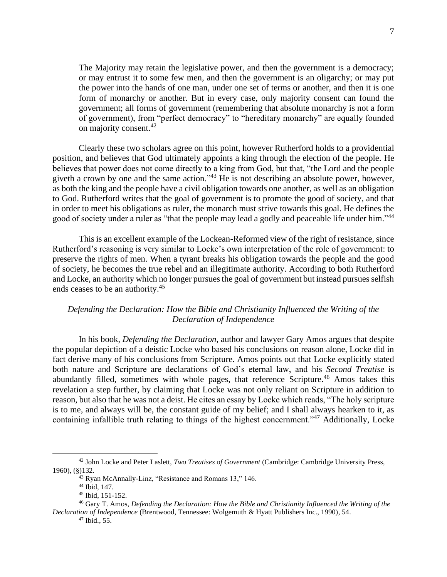The Majority may retain the legislative power, and then the government is a democracy; or may entrust it to some few men, and then the government is an oligarchy; or may put the power into the hands of one man, under one set of terms or another, and then it is one form of monarchy or another. But in every case, only majority consent can found the government; all forms of government (remembering that absolute monarchy is not a form of government), from "perfect democracy" to "hereditary monarchy" are equally founded on majority consent.<sup>42</sup>

Clearly these two scholars agree on this point, however Rutherford holds to a providential position, and believes that God ultimately appoints a king through the election of the people. He believes that power does not come directly to a king from God, but that, "the Lord and the people giveth a crown by one and the same action."<sup>43</sup> He is not describing an absolute power, however, as both the king and the people have a civil obligation towards one another, as well as an obligation to God. Rutherford writes that the goal of government is to promote the good of society, and that in order to meet his obligations as ruler, the monarch must strive towards this goal. He defines the good of society under a ruler as "that the people may lead a godly and peaceable life under him."<sup>44</sup>

This is an excellent example of the Lockean-Reformed view of the right of resistance, since Rutherford's reasoning is very similar to Locke's own interpretation of the role of government: to preserve the rights of men. When a tyrant breaks his obligation towards the people and the good of society, he becomes the true rebel and an illegitimate authority. According to both Rutherford and Locke, an authority which no longer pursues the goal of government but instead pursues selfish ends ceases to be an authority.<sup>45</sup>

### *Defending the Declaration: How the Bible and Christianity Influenced the Writing of the Declaration of Independence*

In his book, *Defending the Declaration*, author and lawyer Gary Amos argues that despite the popular depiction of a deistic Locke who based his conclusions on reason alone, Locke did in fact derive many of his conclusions from Scripture. Amos points out that Locke explicitly stated both nature and Scripture are declarations of God's eternal law, and his *Second Treatise* is abundantly filled, sometimes with whole pages, that reference Scripture.<sup>46</sup> Amos takes this revelation a step further, by claiming that Locke was not only reliant on Scripture in addition to reason, but also that he was not a deist. He cites an essay by Locke which reads, "The holy scripture is to me, and always will be, the constant guide of my belief; and I shall always hearken to it, as containing infallible truth relating to things of the highest concernment."<sup>47</sup> Additionally, Locke

<sup>42</sup> John Locke and Peter Laslett, *Two Treatises of Government* (Cambridge: Cambridge University Press, 1960), (§)132.

<sup>43</sup> Ryan McAnnally-Linz, "Resistance and Romans 13," 146.

<sup>44</sup> Ibid, 147.

<sup>45</sup> Ibid, 151-152.

<sup>46</sup> Gary T. Amos, *Defending the Declaration: How the Bible and Christianity Influenced the Writing of the Declaration of Independence* (Brentwood, Tennessee: Wolgemuth & Hyatt Publishers Inc., 1990), 54.

<sup>47</sup> Ibid., 55.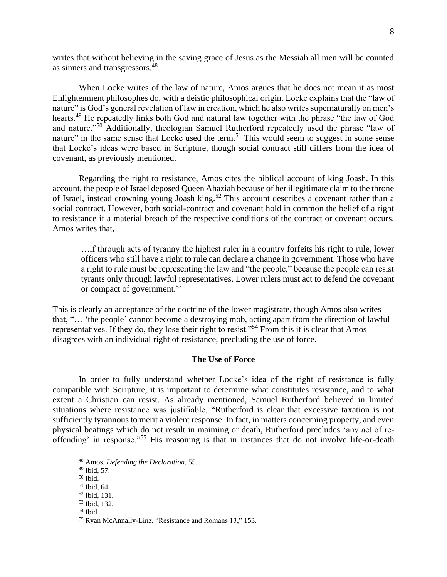writes that without believing in the saving grace of Jesus as the Messiah all men will be counted as sinners and transgressors.<sup>48</sup>

When Locke writes of the law of nature, Amos argues that he does not mean it as most Enlightenment philosophes do, with a deistic philosophical origin. Locke explains that the "law of nature" is God's general revelation of law in creation, which he also writes supernaturally on men's hearts.<sup>49</sup> He repeatedly links both God and natural law together with the phrase "the law of God and nature."<sup>50</sup> Additionally, theologian Samuel Rutherford repeatedly used the phrase "law of nature" in the same sense that Locke used the term.<sup>51</sup> This would seem to suggest in some sense that Locke's ideas were based in Scripture, though social contract still differs from the idea of covenant, as previously mentioned.

Regarding the right to resistance, Amos cites the biblical account of king Joash. In this account, the people of Israel deposed Queen Ahaziah because of her illegitimate claim to the throne of Israel, instead crowning young Joash king.<sup>52</sup> This account describes a covenant rather than a social contract. However, both social-contract and covenant hold in common the belief of a right to resistance if a material breach of the respective conditions of the contract or covenant occurs. Amos writes that,

…if through acts of tyranny the highest ruler in a country forfeits his right to rule, lower officers who still have a right to rule can declare a change in government. Those who have a right to rule must be representing the law and "the people," because the people can resist tyrants only through lawful representatives. Lower rulers must act to defend the covenant or compact of government.<sup>53</sup>

This is clearly an acceptance of the doctrine of the lower magistrate, though Amos also writes that, "… 'the people' cannot become a destroying mob, acting apart from the direction of lawful representatives. If they do, they lose their right to resist."<sup>54</sup> From this it is clear that Amos disagrees with an individual right of resistance, precluding the use of force.

#### **The Use of Force**

In order to fully understand whether Locke's idea of the right of resistance is fully compatible with Scripture, it is important to determine what constitutes resistance, and to what extent a Christian can resist. As already mentioned, Samuel Rutherford believed in limited situations where resistance was justifiable. "Rutherford is clear that excessive taxation is not sufficiently tyrannous to merit a violent response. In fact, in matters concerning property, and even physical beatings which do not result in maiming or death, Rutherford precludes 'any act of reoffending' in response."<sup>55</sup> His reasoning is that in instances that do not involve life-or-death

<sup>48</sup> Amos, *Defending the Declaration*, 55.

 $49$  Ibid, 57.

<sup>50</sup> Ibid.

<sup>51</sup> Ibid, 64.

<sup>52</sup> Ibid, 131.

<sup>53</sup> Ibid, 132.

<sup>54</sup> Ibid.

<sup>55</sup> Ryan McAnnally-Linz, "Resistance and Romans 13," 153.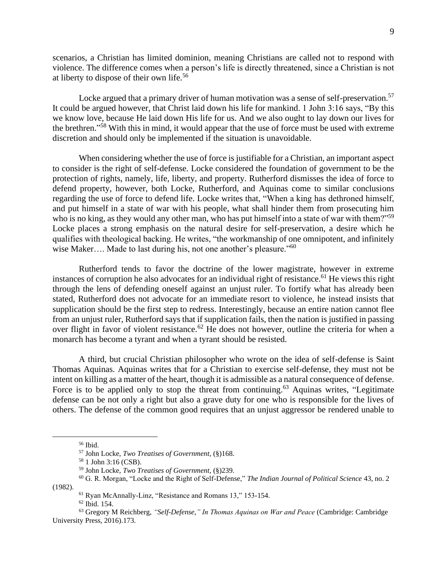scenarios, a Christian has limited dominion, meaning Christians are called not to respond with violence. The difference comes when a person's life is directly threatened, since a Christian is not at liberty to dispose of their own life.<sup>56</sup>

Locke argued that a primary driver of human motivation was a sense of self-preservation.<sup>57</sup> It could be argued however, that Christ laid down his life for mankind. 1 John 3:16 says, "By this we know love, because He laid down His life for us. And we also ought to lay down our lives for the brethren." <sup>58</sup> With this in mind, it would appear that the use of force must be used with extreme discretion and should only be implemented if the situation is unavoidable.

When considering whether the use of force is justifiable for a Christian, an important aspect to consider is the right of self-defense. Locke considered the foundation of government to be the protection of rights, namely, life, liberty, and property. Rutherford dismisses the idea of force to defend property, however, both Locke, Rutherford, and Aquinas come to similar conclusions regarding the use of force to defend life. Locke writes that, "When a king has dethroned himself, and put himself in a state of war with his people, what shall hinder them from prosecuting him who is no king, as they would any other man, who has put himself into a state of war with them?"<sup>59</sup> Locke places a strong emphasis on the natural desire for self-preservation, a desire which he qualifies with theological backing. He writes, "the workmanship of one omnipotent, and infinitely wise Maker.... Made to last during his, not one another's pleasure."<sup>60</sup>

Rutherford tends to favor the doctrine of the lower magistrate, however in extreme instances of corruption he also advocates for an individual right of resistance.<sup>61</sup> He views this right through the lens of defending oneself against an unjust ruler. To fortify what has already been stated, Rutherford does not advocate for an immediate resort to violence, he instead insists that supplication should be the first step to redress. Interestingly, because an entire nation cannot flee from an unjust ruler, Rutherford says that if supplication fails, then the nation is justified in passing over flight in favor of violent resistance.<sup>62</sup> He does not however, outline the criteria for when a monarch has become a tyrant and when a tyrant should be resisted.

A third, but crucial Christian philosopher who wrote on the idea of self-defense is Saint Thomas Aquinas. Aquinas writes that for a Christian to exercise self-defense, they must not be intent on killing as a matter of the heart, though it is admissible as a natural consequence of defense. Force is to be applied only to stop the threat from continuing.<sup>63</sup> Aquinas writes, "Legitimate" defense can be not only a right but also a grave duty for one who is responsible for the lives of others. The defense of the common good requires that an unjust aggressor be rendered unable to

 $56$  Ibid.

<sup>57</sup> John Locke, *Two Treatises of Government,* (§)168.

<sup>58</sup> 1 John 3:16 (CSB).

<sup>59</sup> John Locke, *Two Treatises of Government,* (§)239.

<sup>60</sup> G. R. Morgan, "Locke and the Right of Self-Defense," *The Indian Journal of Political Science* 43, no. 2 (1982).

<sup>61</sup> Ryan McAnnally-Linz, "Resistance and Romans 13," 153-154.

<sup>62</sup> Ibid. 154.

<sup>63</sup> Gregory M Reichberg, *"Self-Defense," In Thomas Aquinas on War and Peace* (Cambridge: Cambridge University Press, 2016).173.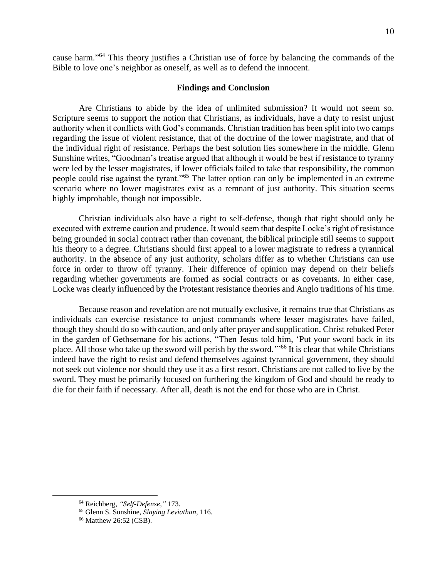cause harm." <sup>64</sup> This theory justifies a Christian use of force by balancing the commands of the Bible to love one's neighbor as oneself, as well as to defend the innocent.

#### **Findings and Conclusion**

Are Christians to abide by the idea of unlimited submission? It would not seem so. Scripture seems to support the notion that Christians, as individuals, have a duty to resist unjust authority when it conflicts with God's commands. Christian tradition has been split into two camps regarding the issue of violent resistance, that of the doctrine of the lower magistrate, and that of the individual right of resistance. Perhaps the best solution lies somewhere in the middle. Glenn Sunshine writes, "Goodman's treatise argued that although it would be best if resistance to tyranny were led by the lesser magistrates, if lower officials failed to take that responsibility, the common people could rise against the tyrant."<sup>65</sup> The latter option can only be implemented in an extreme scenario where no lower magistrates exist as a remnant of just authority. This situation seems highly improbable, though not impossible.

Christian individuals also have a right to self-defense, though that right should only be executed with extreme caution and prudence. It would seem that despite Locke's right of resistance being grounded in social contract rather than covenant, the biblical principle still seems to support his theory to a degree. Christians should first appeal to a lower magistrate to redress a tyrannical authority. In the absence of any just authority, scholars differ as to whether Christians can use force in order to throw off tyranny. Their difference of opinion may depend on their beliefs regarding whether governments are formed as social contracts or as covenants. In either case, Locke was clearly influenced by the Protestant resistance theories and Anglo traditions of his time.

Because reason and revelation are not mutually exclusive, it remains true that Christians as individuals can exercise resistance to unjust commands where lesser magistrates have failed, though they should do so with caution, and only after prayer and supplication. Christ rebuked Peter in the garden of Gethsemane for his actions, "Then Jesus told him, 'Put your sword back in its place. All those who take up the sword will perish by the sword."<sup>66</sup> It is clear that while Christians indeed have the right to resist and defend themselves against tyrannical government, they should not seek out violence nor should they use it as a first resort. Christians are not called to live by the sword. They must be primarily focused on furthering the kingdom of God and should be ready to die for their faith if necessary. After all, death is not the end for those who are in Christ.

<sup>64</sup> Reichberg, *"Self-Defense,"* 173.

<sup>65</sup> Glenn S. Sunshine, *Slaying Leviathan,* 116.

<sup>66</sup> Matthew 26:52 (CSB).